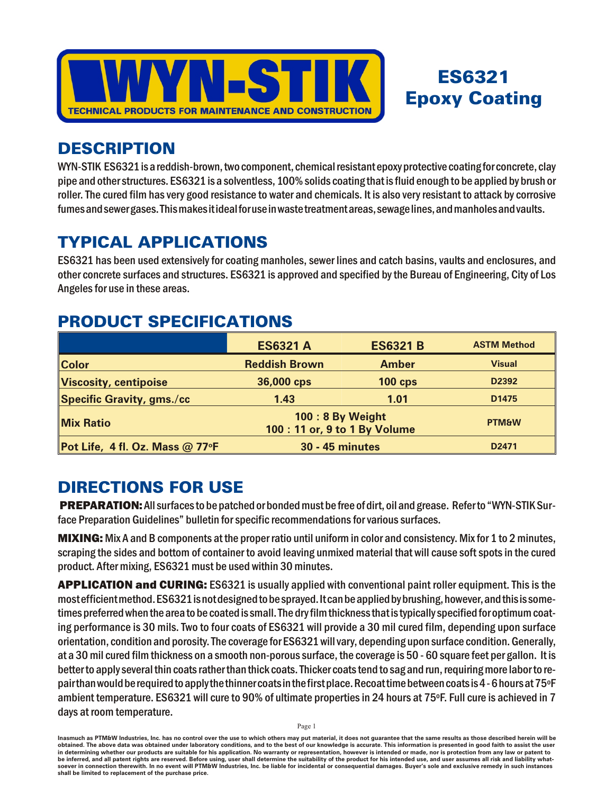

# ES6321 **Epoxy Coating**

## **DESCRIPTION**

WYN-STIK ES6321 is a reddish-brown, two component, chemical resistant epoxy protective coating for concrete, clay pipe and other structures. ES6321 is a solventless, 100% solids coating that is fluid enough to be applied by brush or roller. The cured film has very good resistance to water and chemicals. It is also very resistant to attack by corrosive fumes and sewer gases. This makes it ideal for use in waste treatment areas, sewage lines, and manholes and vaults.

# **TYPICAL APPLICATIONS**

ES6321 has been used extensively for coating manholes, sewer lines and catch basins, vaults and enclosures, and other concrete surfaces and structures. ES6321 is approved and specified by the Bureau of Engineering, City of Los Angeles for use in these areas.

## PRODUCT SPECIFICATIONS

|                                  | <b>ES6321 A</b>                                   | <b>ES6321 B</b> | <b>ASTM Method</b> |
|----------------------------------|---------------------------------------------------|-----------------|--------------------|
| <b>Color</b>                     | <b>Reddish Brown</b>                              | <b>Amber</b>    | <b>Visual</b>      |
| <b>Viscosity, centipoise</b>     | 36,000 cps                                        | $100$ cps       | D2392              |
| <b>Specific Gravity, gms./cc</b> | 1.43                                              | 1.01            | D <sub>1475</sub>  |
| <b>Mix Ratio</b>                 | 100: 8 By Weight<br>100 : 11 or, 9 to 1 By Volume |                 | <b>PTM&amp;W</b>   |
| Pot Life, 4 fl. Oz. Mass @ 77°F  | <b>30 - 45 minutes</b>                            |                 | D <sub>2471</sub>  |

# **DIRECTIONS FOR USE**

**PREPARATION:** All surfaces to be patched or bonded must be free of dirt, oil and grease. Refer to "WYN-STIK Surface Preparation Guidelines" bulletin for specific recommendations for various surfaces.

**MIXING:** Mix A and B components at the proper ratio until uniform in color and consistency. Mix for 1 to 2 minutes, scraping the sides and bottom of container to avoid leaving unmixed material that will cause soft spots in the cured product. After mixing, ES6321 must be used within 30 minutes.

APPLICATION and CURING: ES6321 is usually applied with conventional paint roller equipment. This is the most efficient method. ES6321 is not designed to be sprayed. It can be applied by brushing, however, and this is sometimes preferred when the area to be coated is small. The dry film thickness that is typically specified for optimum coating performance is 30 mils. Two to four coats of ES6321 will provide a 30 mil cured film, depending upon surface orientation, condition and porosity. The coverage for ES6321 will vary, depending upon surface condition. Generally, at a 30 mil cured film thickness on a smooth non-porous surface, the coverage is 50 - 60 square feet per gallon. It is better to apply several thin coats rather than thick coats. Thicker coats tend to sag and run, requiring more labor to repair than would be required to apply the thinner coats in the first place. Recoat time between coats is 4 - 6 hours at 75°F ambient temperature. ES6321 will cure to 90% of ultimate properties in 24 hours at 75°F. Full cure is achieved in 7 days at room temperature.

Inasmuch as PTM&W Industries, Inc. has no control over the use to which others may put material, it does not guarantee that the same results as those described herein will be obtained. The above data was obtained under laboratory conditions, and to the best of our knowledge is accurate. This information is presented in good faith to assist the user in determining whether our products are suitable for his application. No warranty or representation, however is intended or made, nor is protection from any law or patent to be inferred, and all patent rights are reserved. Before using, user shall determine the suitability of the product for his intended use, and user assumes all risk and liability whatsoever in connection therewith. In no event will PTM&W Industries, Inc. be liable for incidental or consequential damages. Buyer's sole and exclusive remedy in such instances shall be limited to replacement of the purchase price.